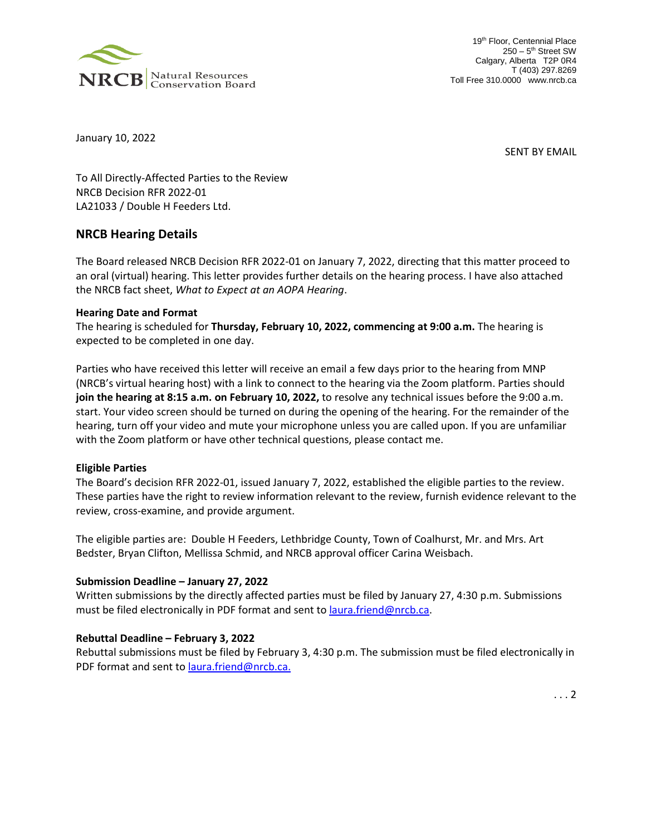

19<sup>th</sup> Floor, Centennial Place 250 - 5<sup>th</sup> Street SW Calgary, Alberta T2P 0R4 T (403) 297.8269 Toll Free 310.0000 www.nrcb.ca

January 10, 2022

SENT BY EMAIL

To All Directly-Affected Parties to the Review NRCB Decision RFR 2022-01 LA21033 / Double H Feeders Ltd.

# **NRCB Hearing Details**

The Board released NRCB Decision RFR 2022-01 on January 7, 2022, directing that this matter proceed to an oral (virtual) hearing. This letter provides further details on the hearing process. I have also attached the NRCB fact sheet, *What to Expect at an AOPA Hearing*.

#### **Hearing Date and Format**

The hearing is scheduled for **Thursday, February 10, 2022, commencing at 9:00 a.m.** The hearing is expected to be completed in one day.

Parties who have received this letter will receive an email a few days prior to the hearing from MNP (NRCB's virtual hearing host) with a link to connect to the hearing via the Zoom platform. Parties should **join the hearing at 8:15 a.m. on February 10, 2022,** to resolve any technical issues before the 9:00 a.m. start. Your video screen should be turned on during the opening of the hearing. For the remainder of the hearing, turn off your video and mute your microphone unless you are called upon. If you are unfamiliar with the Zoom platform or have other technical questions, please contact me.

#### **Eligible Parties**

The Board's decision RFR 2022-01, issued January 7, 2022, established the eligible parties to the review. These parties have the right to review information relevant to the review, furnish evidence relevant to the review, cross-examine, and provide argument.

The eligible parties are: Double H Feeders, Lethbridge County, Town of Coalhurst, Mr. and Mrs. Art Bedster, Bryan Clifton, Mellissa Schmid, and NRCB approval officer Carina Weisbach.

# **Submission Deadline – January 27, 2022**

Written submissions by the directly affected parties must be filed by January 27, 4:30 p.m. Submissions must be filed electronically in PDF format and sent to [laura.friend@nrcb.ca.](mailto:laura.friend@nrcb.ca)

#### **Rebuttal Deadline – February 3, 2022**

Rebuttal submissions must be filed by February 3, 4:30 p.m. The submission must be filed electronically in PDF format and sent to [laura.friend@nrcb.ca.](mailto:laura.friend@nrcb.ca)